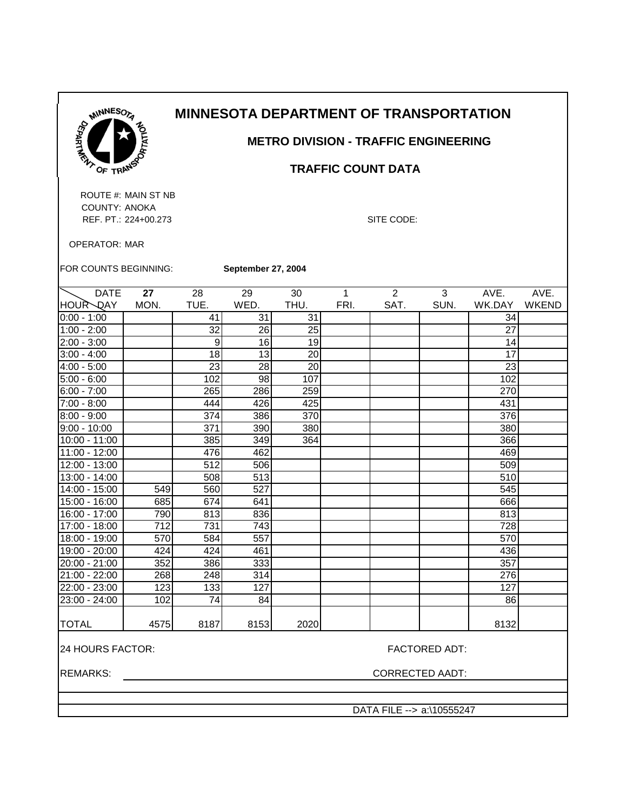

## **METRO DIVISION - TRAFFIC ENGINEERING**

### **TRAFFIC COUNT DATA**

ROUTE #: MAIN ST NB COUNTY: ANOKA REF. PT.: 224+00.273 SITE CODE:

OPERATOR: MAR

FOR COUNTS BEGINNING: **September 27, 2004**

| <b>DATE</b>    | 27   | 28   | 29   | 30   | 1    | $\mathfrak{p}$ | 3    | AVE.   | AVE.         |
|----------------|------|------|------|------|------|----------------|------|--------|--------------|
| HOUR DAY       | MON. | TUE. | WED. | THU. | FRI. | SAT.           | SUN. | WK.DAY | <b>WKEND</b> |
| $0:00 - 1:00$  |      | 41   | 31   | 31   |      |                |      | 34     |              |
| $1:00 - 2:00$  |      | 32   | 26   | 25   |      |                |      | 27     |              |
| $2:00 - 3:00$  |      | 9    | 16   | 19   |      |                |      | 14     |              |
| $3:00 - 4:00$  |      | 18   | 13   | 20   |      |                |      | 17     |              |
| $4:00 - 5:00$  |      | 23   | 28   | 20   |      |                |      | 23     |              |
| $5:00 - 6:00$  |      | 102  | 98   | 107  |      |                |      | 102    |              |
| $6:00 - 7:00$  |      | 265  | 286  | 259  |      |                |      | 270    |              |
| 7:00 - 8:00    |      | 444  | 426  | 425  |      |                |      | 431    |              |
| $8:00 - 9:00$  |      | 374  | 386  | 370  |      |                |      | 376    |              |
| $9:00 - 10:00$ |      | 371  | 390  | 380  |      |                |      | 380    |              |
| 10:00 - 11:00  |      | 385  | 349  | 364  |      |                |      | 366    |              |
| 11:00 - 12:00  |      | 476  | 462  |      |      |                |      | 469    |              |
| 12:00 - 13:00  |      | 512  | 506  |      |      |                |      | 509    |              |
| 13:00 - 14:00  |      | 508  | 513  |      |      |                |      | 510    |              |
| 14:00 - 15:00  | 549  | 560  | 527  |      |      |                |      | 545    |              |
| 15:00 - 16:00  | 685  | 674  | 641  |      |      |                |      | 666    |              |
| 16:00 - 17:00  | 790  | 813  | 836  |      |      |                |      | 813    |              |
| 17:00 - 18:00  | 712  | 731  | 743  |      |      |                |      | 728    |              |
| 18:00 - 19:00  | 570  | 584  | 557  |      |      |                |      | 570    |              |
| 19:00 - 20:00  | 424  | 424  | 461  |      |      |                |      | 436    |              |
| 20:00 - 21:00  | 352  | 386  | 333  |      |      |                |      | 357    |              |
| 21:00 - 22:00  | 268  | 248  | 314  |      |      |                |      | 276    |              |
| 22:00 - 23:00  | 123  | 133  | 127  |      |      |                |      | 127    |              |
| 23:00 - 24:00  | 102  | 74   | 84   |      |      |                |      | 86     |              |
|                |      |      |      |      |      |                |      |        |              |
| <b>TOTAL</b>   | 4575 | 8187 | 8153 | 2020 |      |                |      | 8132   |              |
|                |      |      |      |      |      |                |      |        |              |

24 HOURS FACTOR: FACTORED ADT:

REMARKS: CORRECTED AADT:

DATA FILE --> a:\10555247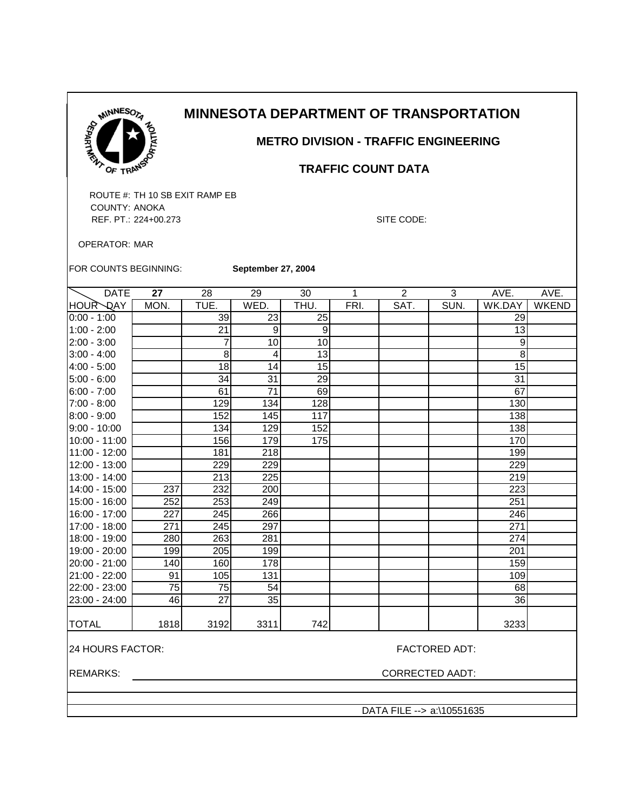

 **METRO DIVISION - TRAFFIC ENGINEERING**

### **TRAFFIC COUNT DATA**

ROUTE #: TH 10 SB EXIT RAMP EB COUNTY: ANOKA REF. PT.: 224+00.273 SITE CODE:

OPERATOR: MAR

FOR COUNTS BEGINNING:

**September 27, 2004**

| <b>DATE</b>                              | 27              | 28              | 29              | 30   | 1    | $\overline{2}$ | 3                      | AVE.   | AVE.         |
|------------------------------------------|-----------------|-----------------|-----------------|------|------|----------------|------------------------|--------|--------------|
| HOUR QAY                                 | MON.            | TUE.            | WED.            | THU. | FRI. | SAT.           | SUN.                   | WK.DAY | <b>WKEND</b> |
| $0:00 - 1:00$                            |                 | 39              | 23              | 25   |      |                |                        | 29     |              |
| $1:00 - 2:00$                            |                 | 21              | 9               | 9    |      |                |                        | 13     |              |
| $2:00 - 3:00$                            |                 | $\overline{7}$  | 10              | 10   |      |                |                        | 9      |              |
| $3:00 - 4:00$                            |                 | 8               | 4               | 13   |      |                |                        | 8      |              |
| 4:00 - 5:00                              |                 | $\overline{18}$ | 14              | 15   |      |                |                        | 15     |              |
| $5:00 - 6:00$                            |                 | 34              | 31              | 29   |      |                |                        | 31     |              |
| $6:00 - 7:00$                            |                 | 61              | $\overline{71}$ | 69   |      |                |                        | 67     |              |
| 7:00 - 8:00                              |                 | 129             | 134             | 128  |      |                |                        | 130    |              |
| 8:00 - 9:00                              |                 | 152             | 145             | 117  |      |                |                        | 138    |              |
| $9:00 - 10:00$                           |                 | 134             | 129             | 152  |      |                |                        | 138    |              |
| 10:00 - 11:00                            |                 | 156             | 179             | 175  |      |                |                        | 170    |              |
| 11:00 - 12:00                            |                 | 181             | 218             |      |      |                |                        | 199    |              |
| 12:00 - 13:00                            |                 | 229             | 229             |      |      |                |                        | 229    |              |
| 13:00 - 14:00                            |                 | 213             | 225             |      |      |                |                        | 219    |              |
| 14:00 - 15:00                            | 237             | 232             | 200             |      |      |                |                        | 223    |              |
| 15:00 - 16:00                            | 252             | 253             | 249             |      |      |                |                        | 251    |              |
| 16:00 - 17:00                            | 227             | 245             | 266             |      |      |                |                        | 246    |              |
| 17:00 - 18:00                            | 271             | 245             | 297             |      |      |                |                        | 271    |              |
| 18:00 - 19:00                            | 280             | 263             | 281             |      |      |                |                        | 274    |              |
| 19:00 - 20:00                            | 199             | 205             | 199             |      |      |                |                        | 201    |              |
| 20:00 - 21:00                            | 140             | 160             | 178             |      |      |                |                        | 159    |              |
| 21:00 - 22:00                            | 91              | 105             | 131             |      |      |                |                        | 109    |              |
| 22:00 - 23:00                            | $\overline{75}$ | 75              | 54              |      |      |                |                        | 68     |              |
| 23:00 - 24:00                            | 46              | $\overline{27}$ | $\overline{35}$ |      |      |                |                        | 36     |              |
| <b>TOTAL</b>                             | 1818            | 3192            | 3311            | 742  |      |                |                        | 3233   |              |
| 24 HOURS FACTOR:<br><b>FACTORED ADT:</b> |                 |                 |                 |      |      |                |                        |        |              |
| <b>REMARKS:</b>                          |                 |                 |                 |      |      |                | <b>CORRECTED AADT:</b> |        |              |
|                                          |                 |                 |                 |      |      |                |                        |        |              |

DATA FILE --> a:\10551635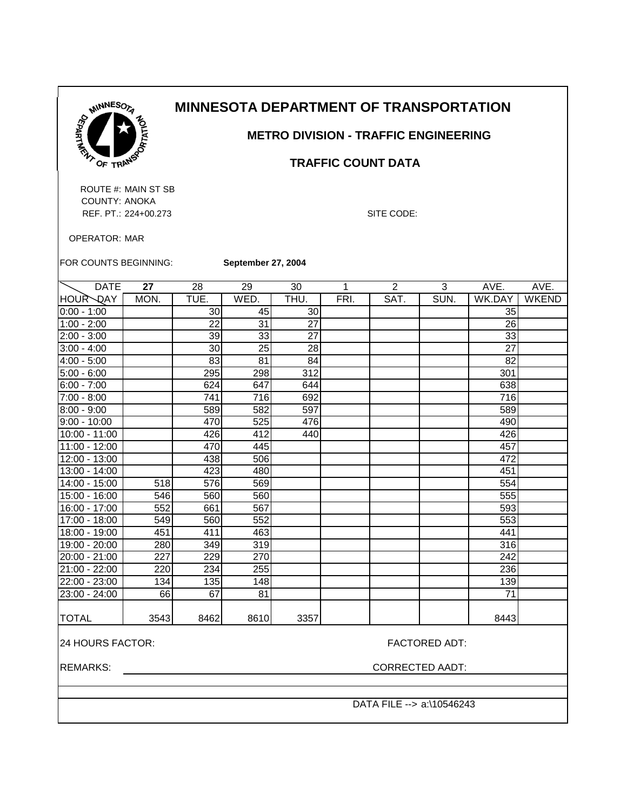

## **METRO DIVISION - TRAFFIC ENGINEERING**

### **TRAFFIC COUNT DATA**

ROUTE #: MAIN ST SB COUNTY: ANOKA REF. PT.: 224+00.273 SITE CODE:

OPERATOR: MAR

FOR COUNTS BEGINNING: **September 27, 2004**

| <b>DATE</b>     | 27   | 28   | 29   | 30   | 1    | $\overline{2}$ | 3    | AVE.   | AVE.         |
|-----------------|------|------|------|------|------|----------------|------|--------|--------------|
| HOUR QAY        | MON. | TUE. | WED. | THU. | FRI. | SAT.           | SUN. | WK.DAY | <b>WKEND</b> |
| $0:00 - 1:00$   |      | 30   | 45   | 30   |      |                |      | 35     |              |
| $1:00 - 2:00$   |      | 22   | 31   | 27   |      |                |      | 26     |              |
| $2:00 - 3:00$   |      | 39   | 33   | 27   |      |                |      | 33     |              |
| $3:00 - 4:00$   |      | 30   | 25   | 28   |      |                |      | 27     |              |
| $4:00 - 5:00$   |      | 83   | 81   | 84   |      |                |      | 82     |              |
| $5:00 - 6:00$   |      | 295  | 298  | 312  |      |                |      | 301    |              |
| $6:00 - 7:00$   |      | 624  | 647  | 644  |      |                |      | 638    |              |
| $7:00 - 8:00$   |      | 741  | 716  | 692  |      |                |      | 716    |              |
| $8:00 - 9:00$   |      | 589  | 582  | 597  |      |                |      | 589    |              |
| $9:00 - 10:00$  |      | 470  | 525  | 476  |      |                |      | 490    |              |
| 10:00 - 11:00   |      | 426  | 412  | 440  |      |                |      | 426    |              |
| $11:00 - 12:00$ |      | 470  | 445  |      |      |                |      | 457    |              |
| 12:00 - 13:00   |      | 438  | 506  |      |      |                |      | 472    |              |
| 13:00 - 14:00   |      | 423  | 480  |      |      |                |      | 451    |              |
| 14:00 - 15:00   | 518  | 576  | 569  |      |      |                |      | 554    |              |
| 15:00 - 16:00   | 546  | 560  | 560  |      |      |                |      | 555    |              |
| 16:00 - 17:00   | 552  | 661  | 567  |      |      |                |      | 593    |              |
| 17:00 - 18:00   | 549  | 560  | 552  |      |      |                |      | 553    |              |
| 18:00 - 19:00   | 451  | 411  | 463  |      |      |                |      | 441    |              |
| 19:00 - 20:00   | 280  | 349  | 319  |      |      |                |      | 316    |              |
| 20:00 - 21:00   | 227  | 229  | 270  |      |      |                |      | 242    |              |
| 21:00 - 22:00   | 220  | 234  | 255  |      |      |                |      | 236    |              |
| 22:00 - 23:00   | 134  | 135  | 148  |      |      |                |      | 139    |              |
| 23:00 - 24:00   | 66   | 67   | 81   |      |      |                |      | 71     |              |
| <b>TOTAL</b>    | 3543 | 8462 | 8610 | 3357 |      |                |      | 8443   |              |

24 HOURS FACTOR: FACTORED ADT:

REMARKS: CORRECTED AADT:

DATA FILE --> a:\10546243